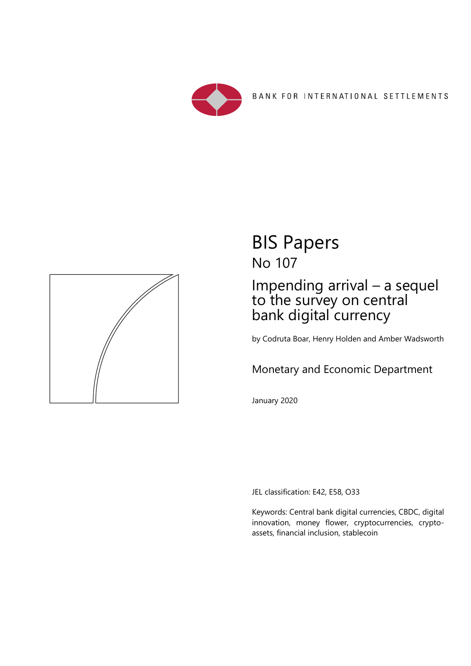



# BIS Papers No 107

## Impending arrival – a sequel to the survey on central bank digital currency

by Codruta Boar, Henry Holden and Amber Wadsworth

## Monetary and Economic Department

January 2020

JEL classification: E42, E58, O33

Keywords: Central bank digital currencies, CBDC, digital innovation, money flower, cryptocurrencies, cryptoassets, financial inclusion, stablecoin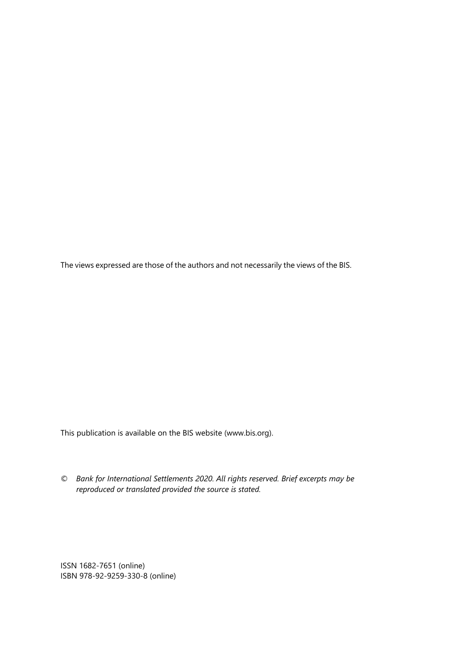The views expressed are those of the authors and not necessarily the views of the BIS.

This publication is available on the BIS website (www.bis.org).

*© Bank for International Settlements 2020. All rights reserved. Brief excerpts may be reproduced or translated provided the source is stated.* 

ISSN 1682-7651 (online) ISBN 978-92-9259-330-8 (online)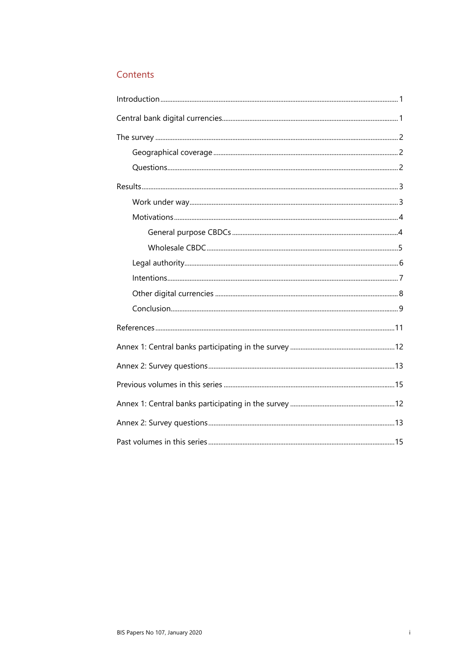## Contents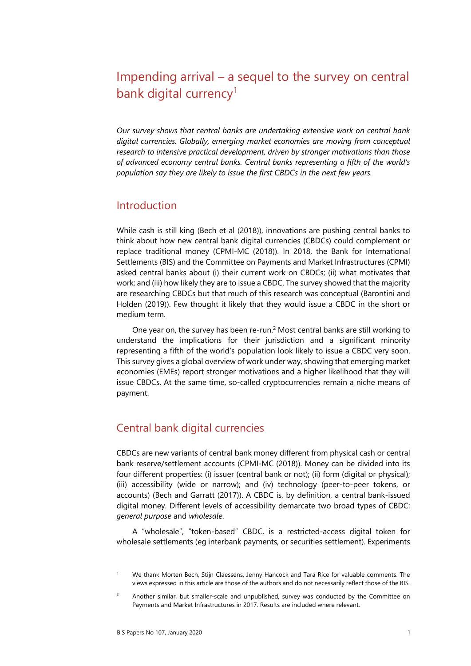## Impending arrival – a sequel to the survey on central bank digital currency<sup>1</sup>

*Our survey shows that central banks are undertaking extensive work on central bank digital currencies. Globally, emerging market economies are moving from conceptual research to intensive practical development, driven by stronger motivations than those of advanced economy central banks. Central banks representing a fifth of the world's population say they are likely to issue the first CBDCs in the next few years.* 

## <span id="page-4-1"></span>Introduction

While cash is still king (Bech et al (2018)), innovations are pushing central banks to think about how new central bank digital currencies (CBDCs) could complement or replace traditional money (CPMI-MC (2018)). In 2018, the Bank for International Settlements (BIS) and the Committee on Payments and Market Infrastructures (CPMI) asked central banks about (i) their current work on CBDCs; (ii) what motivates that work; and (iii) how likely they are to issue a CBDC. The survey showed that the majority are researching CBDCs but that much of this research was conceptual (Barontini and Holden (2019)). Few thought it likely that they would issue a CBDC in the short or medium term.

One year on, the survey has been re-run.[2](#page-4-2) Most central banks are still working to understand the implications for their jurisdiction and a significant minority representing a fifth of the world's population look likely to issue a CBDC very soon. This survey gives a global overview of work under way, showing that emerging market economies (EMEs) report stronger motivations and a higher likelihood that they will issue CBDCs. At the same time, so-called cryptocurrencies remain a niche means of payment.

## <span id="page-4-0"></span>Central bank digital currencies

CBDCs are new variants of central bank money different from physical cash or central bank reserve/settlement accounts (CPMI-MC (2018)). Money can be divided into its four different properties: (i) issuer (central bank or not); (ii) form (digital or physical); (iii) accessibility (wide or narrow); and (iv) technology (peer-to-peer tokens, or accounts) (Bech and Garratt (2017)). A CBDC is, by definition, a central bank-issued digital money. Different levels of accessibility demarcate two broad types of CBDC: *general purpose* and *wholesale*.

A "wholesale", "token-based" CBDC, is a restricted-access digital token for wholesale settlements (eg interbank payments, or securities settlement). Experiments

<span id="page-4-3"></span><sup>1</sup> We thank Morten Bech, Stijn Claessens, Jenny Hancock and Tara Rice for valuable comments. The views expressed in this article are those of the authors and do not necessarily reflect those of the BIS.

<span id="page-4-2"></span><sup>2</sup> Another similar, but smaller-scale and unpublished, survey was conducted by the Committee on Payments and Market Infrastructures in 2017. Results are included where relevant.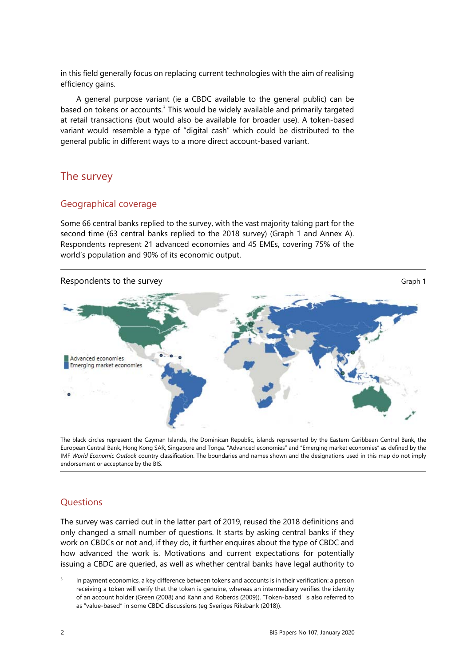in this field generally focus on replacing current technologies with the aim of realising efficiency gains.

A general purpose variant (ie a CBDC available to the general public) can be based on tokens or accounts.<sup>3</sup> This would be widely available and primarily targeted at retail transactions (but would also be available for broader use). A token-based variant would resemble a type of "digital cash" which could be distributed to the general public in different ways to a more direct account-based variant.

## <span id="page-5-2"></span>The survey

## <span id="page-5-1"></span>Geographical coverage

Some 66 central banks replied to the survey, with the vast majority taking part for the second time (63 central banks replied to the 2018 survey) (Graph 1 and Annex A). Respondents represent 21 advanced economies and 45 EMEs, covering 75% of the world's population and 90% of its economic output.



The black circles represent the Cayman Islands, the Dominican Republic, islands represented by the Eastern Caribbean Central Bank, the European Central Bank, Hong Kong SAR, Singapore and Tonga. "Advanced economies" and "Emerging market economies" as defined by the IMF *World Economic Outlook* country classification. The boundaries and names shown and the designations used in this map do not imply endorsement or acceptance by the BIS.

## <span id="page-5-0"></span>**Questions**

The survey was carried out in the latter part of 2019, reused the 2018 definitions and only changed a small number of questions. It starts by asking central banks if they work on CBDCs or not and, if they do, it further enquires about the type of CBDC and how advanced the work is. Motivations and current expectations for potentially issuing a CBDC are queried, as well as whether central banks have legal authority to

<span id="page-5-3"></span>3 In payment economics, a key difference between tokens and accounts is in their verification: a person receiving a token will verify that the token is genuine, whereas an intermediary verifies the identity of an account holder (Green (2008) and Kahn and Roberds (2009)). "Token-based" is also referred to as "value-based" in some CBDC discussions (eg Sveriges Riksbank (2018)).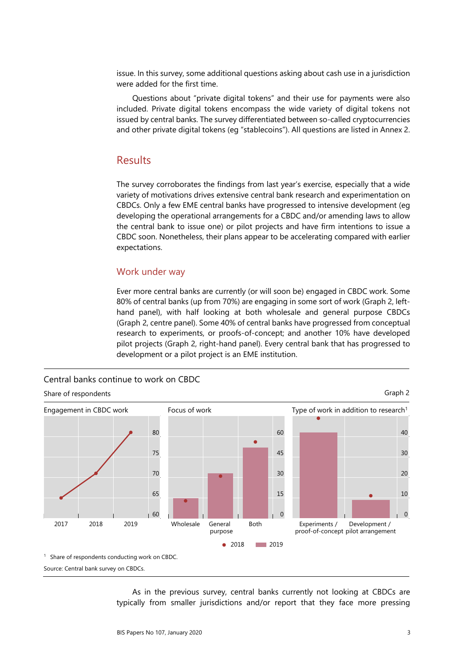issue. In this survey, some additional questions asking about cash use in a jurisdiction were added for the first time.

Questions about "private digital tokens" and their use for payments were also included. Private digital tokens encompass the wide variety of digital tokens not issued by central banks. The survey differentiated between so-called cryptocurrencies and other private digital tokens (eg "stablecoins"). All questions are listed in Annex 2.

### <span id="page-6-1"></span>Results

The survey corroborates the findings from last year's exercise, especially that a wide variety of motivations drives extensive central bank research and experimentation on CBDCs. Only a few EME central banks have progressed to intensive development (eg developing the operational arrangements for a CBDC and/or amending laws to allow the central bank to issue one) or pilot projects and have firm intentions to issue a CBDC soon. Nonetheless, their plans appear to be accelerating compared with earlier expectations.

#### <span id="page-6-0"></span>Work under way

Ever more central banks are currently (or will soon be) engaged in CBDC work. Some 80% of central banks (up from 70%) are engaging in some sort of work (Graph 2, lefthand panel), with half looking at both wholesale and general purpose CBDCs (Graph 2, centre panel). Some 40% of central banks have progressed from conceptual research to experiments, or proofs-of-concept; and another 10% have developed pilot projects (Graph 2, right-hand panel). Every central bank that has progressed to development or a pilot project is an EME institution.



Source: Central bank survey on CBDCs.

As in the previous survey, central banks currently not looking at CBDCs are typically from smaller jurisdictions and/or report that they face more pressing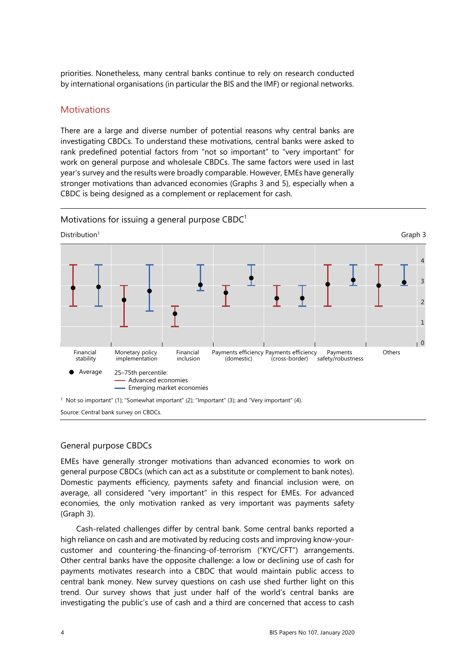priorities. Nonetheless, many central banks continue to rely on research conducted by international organisations (in particular the BIS and the IMF) or regional networks.

#### <span id="page-7-1"></span>**Motivations**

There are a large and diverse number of potential reasons why central banks are investigating CBDCs. To understand these motivations, central banks were asked to rank predefined potential factors from "not so important" to "very important" for work on general purpose and wholesale CBDCs. The same factors were used in last year's survey and the results were broadly comparable. However, EMEs have generally stronger motivations than advanced economies (Graphs 3 and 5), especially when a CBDC is being designed as a complement or replacement for cash.



Motivations for issuing a general purpose  $CBDC<sup>1</sup>$ 

#### <span id="page-7-0"></span>General purpose CBDCs

EMEs have generally stronger motivations than advanced economies to work on general purpose CBDCs (which can act as a substitute or complement to bank notes). Domestic payments efficiency, payments safety and financial inclusion were, on average, all considered "very important" in this respect for EMEs. For advanced economies, the only motivation ranked as very important was payments safety (Graph 3).

Cash-related challenges differ by central bank. Some central banks reported a high reliance on cash and are motivated by reducing costs and improving know-yourcustomer and countering-the-financing-of-terrorism ("KYC/CFT") arrangements. Other central banks have the opposite challenge: a low or declining use of cash for payments motivates research into a CBDC that would maintain public access to central bank money. New survey questions on cash use shed further light on this trend. Our survey shows that just under half of the world's central banks are investigating the public's use of cash and a third are concerned that access to cash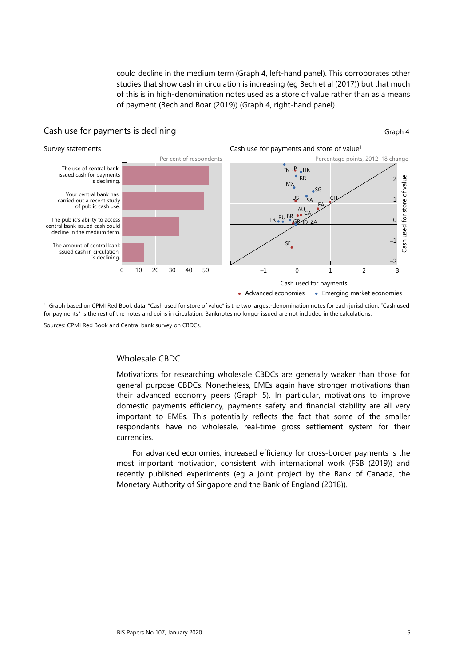could decline in the medium term (Graph 4, left-hand panel). This corroborates other studies that show cash in circulation is increasing (eg Bech et al (2017)) but that much of this is in high-denomination notes used as a store of value rather than as a means of payment (Bech and Boar (2019)) (Graph 4, right-hand panel).



Sources: CPMI Red Book and Central bank survey on CBDCs.

#### <span id="page-8-0"></span>Wholesale CBDC

Motivations for researching wholesale CBDCs are generally weaker than those for general purpose CBDCs. Nonetheless, EMEs again have stronger motivations than their advanced economy peers (Graph 5). In particular, motivations to improve domestic payments efficiency, payments safety and financial stability are all very important to EMEs. This potentially reflects the fact that some of the smaller respondents have no wholesale, real-time gross settlement system for their currencies.

For advanced economies, increased efficiency for cross-border payments is the most important motivation, consistent with international work (FSB (2019)) and recently published experiments (eg a joint project by the Bank of Canada, the Monetary Authority of Singapore and the Bank of England (2018)).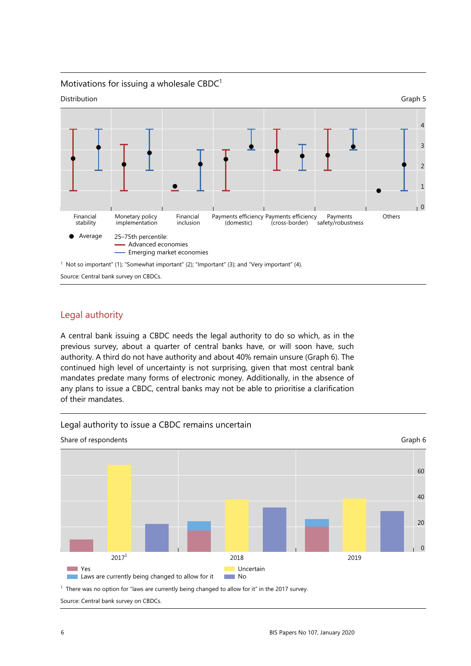

Source: Central bank survey on CBDCs.

### <span id="page-9-0"></span>Legal authority

A central bank issuing a CBDC needs the legal authority to do so which, as in the previous survey, about a quarter of central banks have, or will soon have, such authority. A third do not have authority and about 40% remain unsure (Graph 6). The continued high level of uncertainty is not surprising, given that most central bank mandates predate many forms of electronic money. Additionally, in the absence of any plans to issue a CBDC, central banks may not be able to prioritise a clarification of their mandates.



#### Legal authority to issue a CBDC remains uncertain

<sup>1</sup> There was no option for "laws are currently being changed to allow for it" in the 2017 survey. Source: Central bank survey on CBDCs.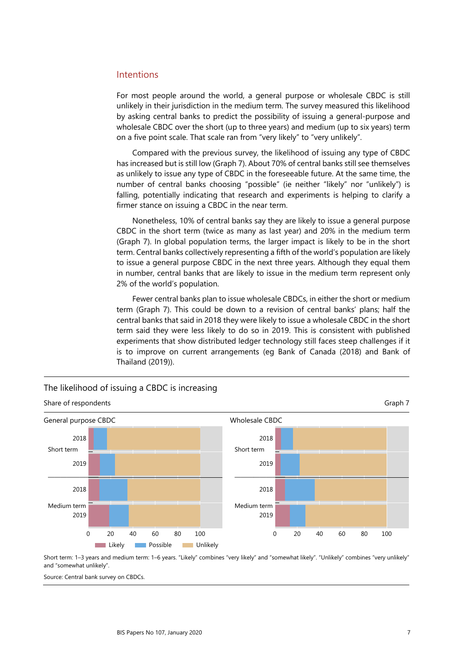#### <span id="page-10-0"></span>Intentions

For most people around the world, a general purpose or wholesale CBDC is still unlikely in their jurisdiction in the medium term. The survey measured this likelihood by asking central banks to predict the possibility of issuing a general-purpose and wholesale CBDC over the short (up to three years) and medium (up to six years) term on a five point scale. That scale ran from "very likely" to "very unlikely".

Compared with the previous survey, the likelihood of issuing any type of CBDC has increased but is still low (Graph 7). About 70% of central banks still see themselves as unlikely to issue any type of CBDC in the foreseeable future. At the same time, the number of central banks choosing "possible" (ie neither "likely" nor "unlikely") is falling, potentially indicating that research and experiments is helping to clarify a firmer stance on issuing a CBDC in the near term.

Nonetheless, 10% of central banks say they are likely to issue a general purpose CBDC in the short term (twice as many as last year) and 20% in the medium term (Graph 7). In global population terms, the larger impact is likely to be in the short term. Central banks collectively representing a fifth of the world's population are likely to issue a general purpose CBDC in the next three years. Although they equal them in number, central banks that are likely to issue in the medium term represent only 2% of the world's population.

Fewer central banks plan to issue wholesale CBDCs, in either the short or medium term (Graph 7). This could be down to a revision of central banks' plans; half the central banks that said in 2018 they were likely to issue a wholesale CBDC in the short term said they were less likely to do so in 2019. This is consistent with published experiments that show distributed ledger technology still faces steep challenges if it is to improve on current arrangements (eg Bank of Canada (2018) and Bank of Thailand (2019)).



### The likelihood of issuing a CBDC is increasing

Short term: 1–3 years and medium term: 1–6 years. "Likely" combines "very likely" and "somewhat likely". "Unlikely" combines "very unlikely" and "somewhat unlikely".

Source: Central bank survey on CBDCs.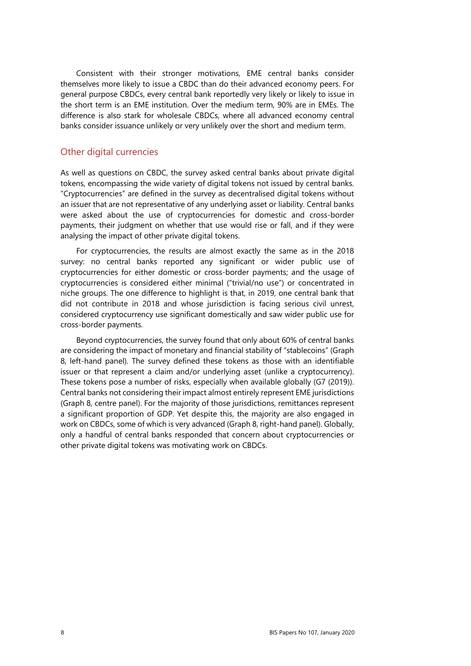Consistent with their stronger motivations, EME central banks consider themselves more likely to issue a CBDC than do their advanced economy peers. For general purpose CBDCs, every central bank reportedly very likely or likely to issue in the short term is an EME institution. Over the medium term, 90% are in EMEs. The difference is also stark for wholesale CBDCs, where all advanced economy central banks consider issuance unlikely or very unlikely over the short and medium term.

#### <span id="page-11-0"></span>Other digital currencies

As well as questions on CBDC, the survey asked central banks about private digital tokens, encompassing the wide variety of digital tokens not issued by central banks. "Cryptocurrencies" are defined in the survey as decentralised digital tokens without an issuer that are not representative of any underlying asset or liability. Central banks were asked about the use of cryptocurrencies for domestic and cross-border payments, their judgment on whether that use would rise or fall, and if they were analysing the impact of other private digital tokens.

For cryptocurrencies, the results are almost exactly the same as in the 2018 survey: no central banks reported any significant or wider public use of cryptocurrencies for either domestic or cross-border payments; and the usage of cryptocurrencies is considered either minimal ("trivial/no use") or concentrated in niche groups. The one difference to highlight is that, in 2019, one central bank that did not contribute in 2018 and whose jurisdiction is facing serious civil unrest, considered cryptocurrency use significant domestically and saw wider public use for cross-border payments.

Beyond cryptocurrencies, the survey found that only about 60% of central banks are considering the impact of monetary and financial stability of "stablecoins" (Graph 8, left-hand panel). The survey defined these tokens as those with an identifiable issuer or that represent a claim and/or underlying asset (unlike a cryptocurrency). These tokens pose a number of risks, especially when available globally (G7 (2019)). Central banks not considering their impact almost entirely represent EME jurisdictions (Graph 8, centre panel). For the majority of those jurisdictions, remittances represent a significant proportion of GDP. Yet despite this, the majority are also engaged in work on CBDCs, some of which is very advanced (Graph 8, right-hand panel). Globally, only a handful of central banks responded that concern about cryptocurrencies or other private digital tokens was motivating work on CBDCs.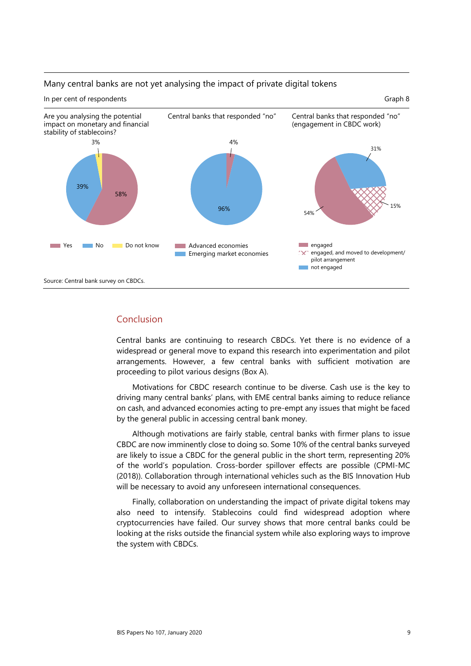

#### Many central banks are not yet analysing the impact of private digital tokens

### <span id="page-12-0"></span>Conclusion

Central banks are continuing to research CBDCs. Yet there is no evidence of a widespread or general move to expand this research into experimentation and pilot arrangements. However, a few central banks with sufficient motivation are proceeding to pilot various designs (Box A).

Motivations for CBDC research continue to be diverse. Cash use is the key to driving many central banks' plans, with EME central banks aiming to reduce reliance on cash, and advanced economies acting to pre-empt any issues that might be faced by the general public in accessing central bank money.

Although motivations are fairly stable, central banks with firmer plans to issue CBDC are now imminently close to doing so. Some 10% of the central banks surveyed are likely to issue a CBDC for the general public in the short term, representing 20% of the world's population. Cross-border spillover effects are possible (CPMI-MC (2018)). Collaboration through international vehicles such as the BIS Innovation Hub will be necessary to avoid any unforeseen international consequences.

Finally, collaboration on understanding the impact of private digital tokens may also need to intensify. Stablecoins could find widespread adoption where cryptocurrencies have failed. Our survey shows that more central banks could be looking at the risks outside the financial system while also exploring ways to improve the system with CBDCs.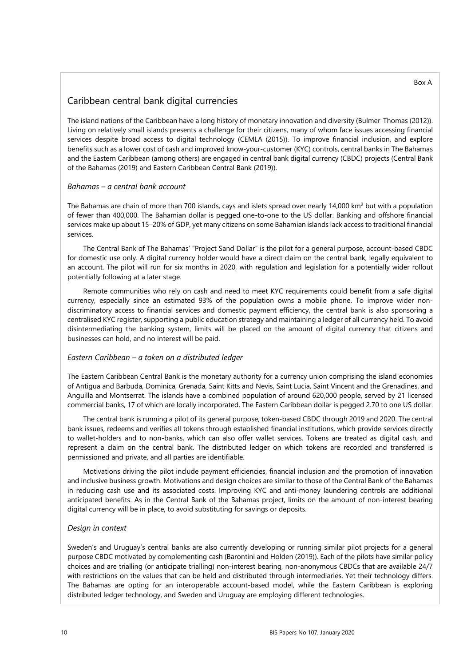### Caribbean central bank digital currencies

The island nations of the Caribbean have a long history of monetary innovation and diversity (Bulmer-Thomas (2012)). Living on relatively small islands presents a challenge for their citizens, many of whom face issues accessing financial services despite broad access to digital technology (CEMLA (2015)). To improve financial inclusion, and explore benefits such as a lower cost of cash and improved know-your-customer (KYC) controls, central banks in The Bahamas and the Eastern Caribbean (among others) are engaged in central bank digital currency (CBDC) projects (Central Bank of the Bahamas (2019) and Eastern Caribbean Central Bank (2019)).

#### *Bahamas – a central bank account*

The Bahamas are chain of more than 700 islands, cays and islets spread over nearly 14,000 km<sup>2</sup> but with a population of fewer than 400,000. The Bahamian dollar is pegged one-to-one to the US dollar. Banking and offshore financial services make up about 15–20% of GDP, yet many citizens on some Bahamian islands lack access to traditional financial services.

The Central Bank of The Bahamas' "Project Sand Dollar" is the pilot for a general purpose, account-based CBDC for domestic use only. A digital currency holder would have a direct claim on the central bank, legally equivalent to an account. The pilot will run for six months in 2020, with regulation and legislation for a potentially wider rollout potentially following at a later stage.

Remote communities who rely on cash and need to meet KYC requirements could benefit from a safe digital currency, especially since an estimated 93% of the population owns a mobile phone. To improve wider nondiscriminatory access to financial services and domestic payment efficiency, the central bank is also sponsoring a centralised KYC register, supporting a public education strategy and maintaining a ledger of all currency held. To avoid disintermediating the banking system, limits will be placed on the amount of digital currency that citizens and businesses can hold, and no interest will be paid.

#### *Eastern Caribbean – a token on a distributed ledger*

The Eastern Caribbean Central Bank is the monetary authority for a currency union comprising the island economies of Antigua and Barbuda, Dominica, Grenada, Saint Kitts and Nevis, Saint Lucia, Saint Vincent and the Grenadines, and Anguilla and Montserrat. The islands have a combined population of around 620,000 people, served by 21 licensed commercial banks, 17 of which are locally incorporated. The Eastern Caribbean dollar is pegged 2.70 to one US dollar.

The central bank is running a pilot of its general purpose, token-based CBDC through 2019 and 2020. The central bank issues, redeems and verifies all tokens through established financial institutions, which provide services directly to wallet-holders and to non-banks, which can also offer wallet services. Tokens are treated as digital cash, and represent a claim on the central bank. The distributed ledger on which tokens are recorded and transferred is permissioned and private, and all parties are identifiable.

Motivations driving the pilot include payment efficiencies, financial inclusion and the promotion of innovation and inclusive business growth. Motivations and design choices are similar to those of the Central Bank of the Bahamas in reducing cash use and its associated costs. Improving KYC and anti-money laundering controls are additional anticipated benefits. As in the Central Bank of the Bahamas project, limits on the amount of non-interest bearing digital currency will be in place, to avoid substituting for savings or deposits.

#### *Design in context*

Sweden's and Uruguay's central banks are also currently developing or running similar pilot projects for a general purpose CBDC motivated by complementing cash (Barontini and Holden (2019)). Each of the pilots have similar policy choices and are trialling (or anticipate trialling) non-interest bearing, non-anonymous CBDCs that are available 24/7 with restrictions on the values that can be held and distributed through intermediaries. Yet their technology differs. The Bahamas are opting for an interoperable account-based model, while the Eastern Caribbean is exploring distributed ledger technology, and Sweden and Uruguay are employing different technologies.

#### Box A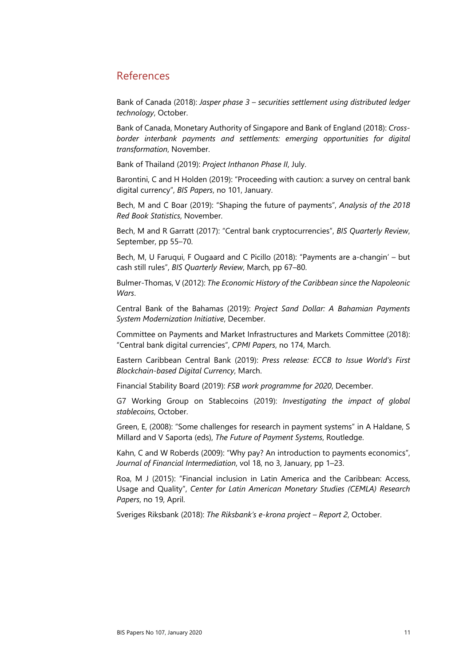## <span id="page-14-0"></span>References

Bank of Canada (2018): *[Jasper phase 3 – securities settlement using distributed ledger](https://www.payments.ca/sites/default/files/jasper_phase_iii_whitepaper_final_0.pdf)  [technology](https://www.payments.ca/sites/default/files/jasper_phase_iii_whitepaper_final_0.pdf)*, October.

[Bank of Canada, Monetary Authority of Singapore and Bank of England \(2018\):](https://www.bankofengland.co.uk/-/media/boe/files/report/2018/cross-border-interbank-payments-and-settlements.pdf?la=en&hash=48AADDE3973FCB451E725CB70634A3AAFE7A45A3) *Cross[border interbank payments and settlements: emerging opportunities for digital](https://www.bankofengland.co.uk/-/media/boe/files/report/2018/cross-border-interbank-payments-and-settlements.pdf?la=en&hash=48AADDE3973FCB451E725CB70634A3AAFE7A45A3)  [transformation](https://www.bankofengland.co.uk/-/media/boe/files/report/2018/cross-border-interbank-payments-and-settlements.pdf?la=en&hash=48AADDE3973FCB451E725CB70634A3AAFE7A45A3)*, November.

[Bank of Thailand \(2019\):](https://www.bot.or.th/English/PressandSpeeches/Press/2019/Pages/n3962.aspx) *Project Inthanon Phase II*, July.

[Barontini, C and H Holden \(2019\): "Proceeding with caution: a survey on central bank](https://www.bis.org/publ/bppdf/bispap101.pdf)  digital currency", *BIS Papers*[, no 101, January.](https://www.bis.org/publ/bppdf/bispap101.pdf) 

[Bech, M and C Boar \(2019\): "Shaping the future of payments",](https://www.bis.org/statistics/payment_stats/commentary1911.htm) *Analysis of the 2018 [Red Book Statistics](https://www.bis.org/statistics/payment_stats/commentary1911.htm)*, November.

Bech, M and R Garratt (2017): "Central bank cryptocurrencies", *BIS Quarterly Review*, September, pp 55–70.

Bech, M, U Faruqui, F Ougaard and C Picillo (2018): "Payments are a-changin' – but cash still rules", *BIS Quarterly Review*, March, pp 67–80.

Bulmer-Thomas, V (2012): *The Economic History of the Caribbean since the Napoleonic Wars*.

Central Bank of the Bahamas (2019): *[Project Sand Dollar: A Bahamian Payments](https://www.centralbankbahamas.com/publications.php?cmd=view&id=17018)  [System Modernization Initiative](https://www.centralbankbahamas.com/publications.php?cmd=view&id=17018)*, December.

Committee on Payments and Market Infrastructures and Markets Committee (2018): "Central bank digital currencies", *CPMI Papers*, no 174, March.

Eastern Caribbean Central Bank (2019): *[Press release: ECCB to Issue World's First](https://www.eccb-centralbank.org/news/view/eccb-to-issue-worldas-first-blockchain-based-digital-currency)  [Blockchain-based Digital Currency](https://www.eccb-centralbank.org/news/view/eccb-to-issue-worldas-first-blockchain-based-digital-currency)*, March.

[Financial Stability Board \(2019\):](https://www.fsb.org/wp-content/uploads/P171219.pdf) *FSB work programme for 2020*, December.

[G7 Working Group on Stablecoins \(2019\):](https://www.bis.org/cpmi/publ/d187.pdf) *Investigating the impact of global [stablecoins](https://www.bis.org/cpmi/publ/d187.pdf)*, October.

Green, E, (2008): "Some challenges for research in payment systems" in A Haldane, S Millard and V Saporta (eds), *The Future of Payment Systems*, Routledge.

Kahn, C and W Roberds (2009): "Why pay? An introduction to payments economics", *Journal of Financial Intermediation*, vol 18, no 3, January, pp 1–23.

[Roa, M J \(2015\): "Financial inclusion in Latin America and the Caribbean: Access,](https://www.cemla.org/PDF/investigacion/inv-2015-04-19.pdf)  Usage and Quality", *[Center for Latin American Monetary Studies \(CEMLA\) Research](https://www.cemla.org/PDF/investigacion/inv-2015-04-19.pdf)  Papers*[, no 19, April.](https://www.cemla.org/PDF/investigacion/inv-2015-04-19.pdf) 

Sveriges Riksbank (2018): *The Riksbank's e-krona project – Report 2*, October.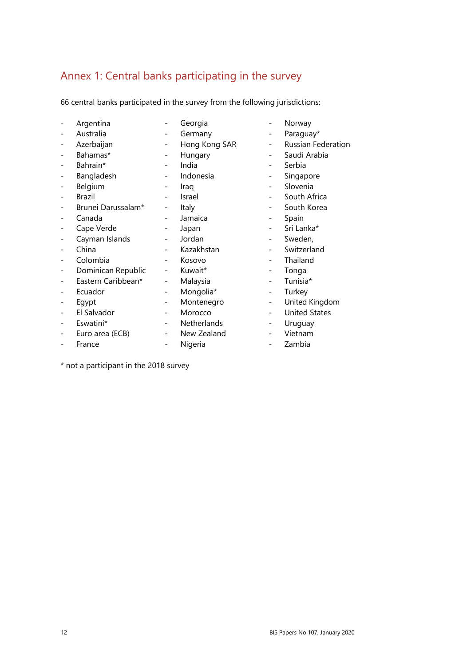## <span id="page-15-0"></span>Annex 1: Central banks participating in the survey

66 central banks participated in the survey from the following jurisdictions:

| Argentina          | Georgia       |  |
|--------------------|---------------|--|
| Australia          | Germany       |  |
| Azerbaijan         | Hong Kong SAR |  |
| Bahamas*           | Hungary       |  |
| Bahrain*           | India         |  |
| Bangladesh         | Indonesia     |  |
| Belgium            | Iraq          |  |
| Brazil             | Israel        |  |
| Brunei Darussalam* | Italy         |  |
| Canada             | Jamaica       |  |
| Cape Verde         | Japan         |  |
| Cayman Islands     | Jordan        |  |
| China              | Kazakhstan    |  |
| Colombia           | Kosovo        |  |
| Dominican Republic | Kuwait*       |  |
| Eastern Caribbean* | Malaysia      |  |
| Ecuador            | Mongolia*     |  |
| Egypt              | Montenegro    |  |
| El Salvador        | Morocco       |  |
| Eswatini*          | Netherlands   |  |
| Euro area (ECB)    | New Zealand   |  |
| France             | Nigeria       |  |

**Norway** 

- Paraguay\*
- Russian Federation
- Saudi Arabia
- Serbia
- Singapore
- **Slovenia**
- South Africa
- South Korea
- Spain
- Sri Lanka\*
- Sweden,
- Switzerland
- **Thailand**
- Tonga
- Tunisia\*
- **Turkey**
- United Kingdom
- United States
- Uruguay
- Vietnam
- Zambia

\* not a participant in the 2018 survey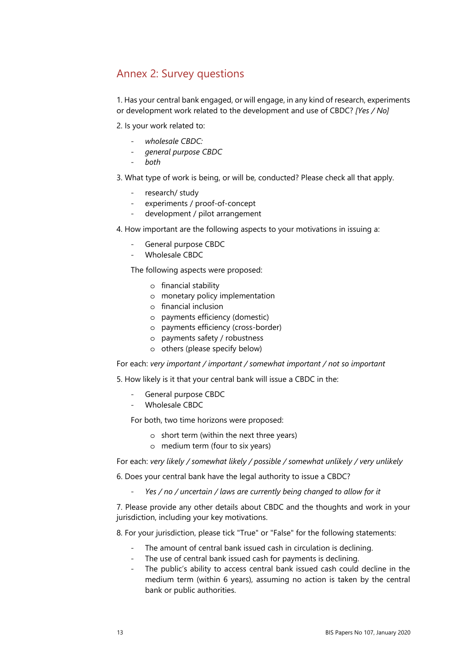## <span id="page-16-0"></span>Annex 2: Survey questions

1. Has your central bank engaged, or will engage, in any kind of research, experiments or development work related to the development and use of CBDC? *[Yes / No]*

- 2. Is your work related to:
	- *wholesale CBDC:*
	- *general purpose CBDC*
	- *both*
- 3. What type of work is being, or will be, conducted? Please check all that apply.
	- research/ study
	- experiments / proof-of-concept
	- development / pilot arrangement
- 4. How important are the following aspects to your motivations in issuing a:
	- General purpose CBDC
	- Wholesale CBDC

The following aspects were proposed:

- o financial stability
- o monetary policy implementation
- o financial inclusion
- o payments efficiency (domestic)
- o payments efficiency (cross-border)
- o payments safety / robustness
- o others (please specify below)

For each: *very important / important / somewhat important / not so important*

5. How likely is it that your central bank will issue a CBDC in the:

- General purpose CBDC
- Wholesale CBDC

For both, two time horizons were proposed:

- o short term (within the next three years)
- o medium term (four to six years)

For each: *very likely / somewhat likely / possible / somewhat unlikely / very unlikely*

6. Does your central bank have the legal authority to issue a CBDC?

- *Yes / no / uncertain / laws are currently being changed to allow for it* 

7. Please provide any other details about CBDC and the thoughts and work in your jurisdiction, including your key motivations.

8. For your jurisdiction, please tick "True" or "False" for the following statements:

- The amount of central bank issued cash in circulation is declining.
- The use of central bank issued cash for payments is declining.
- The public's ability to access central bank issued cash could decline in the medium term (within 6 years), assuming no action is taken by the central bank or public authorities.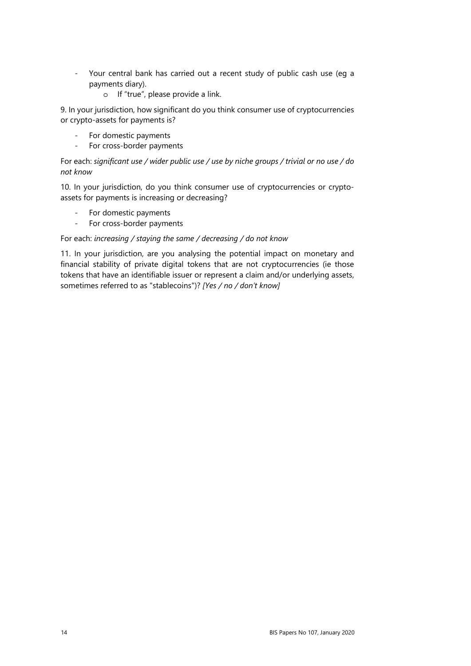- Your central bank has carried out a recent study of public cash use (eg a payments diary).
	- o If "true", please provide a link.

9. In your jurisdiction, how significant do you think consumer use of cryptocurrencies or crypto-assets for payments is?

- For domestic payments
- For cross-border payments

For each: *significant use / wider public use / use by niche groups / trivial or no use / do not know*

10. In your jurisdiction, do you think consumer use of cryptocurrencies or cryptoassets for payments is increasing or decreasing?

- For domestic payments
- For cross-border payments

#### For each: *increasing / staying the same / decreasing / do not know*

11. In your jurisdiction, are you analysing the potential impact on monetary and financial stability of private digital tokens that are not cryptocurrencies (ie those tokens that have an identifiable issuer or represent a claim and/or underlying assets, sometimes referred to as "stablecoins")? *[Yes / no / don't know]*